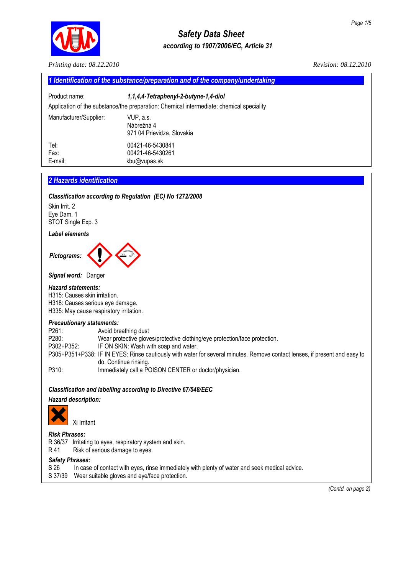

# *Safety Data Sheet according to 1907/2006/EC, Article 31*

| Printing date: 08.12.2010                                                                                                                                        | Revision: 08.12.2010                                                                                                                                                                                                                                                                                                                                        |
|------------------------------------------------------------------------------------------------------------------------------------------------------------------|-------------------------------------------------------------------------------------------------------------------------------------------------------------------------------------------------------------------------------------------------------------------------------------------------------------------------------------------------------------|
|                                                                                                                                                                  | 1 Identification of the substance/preparation and of the company/undertaking                                                                                                                                                                                                                                                                                |
| Product name:                                                                                                                                                    | 1,1,4,4-Tetraphenyl-2-butyne-1,4-diol                                                                                                                                                                                                                                                                                                                       |
|                                                                                                                                                                  | Application of the substance/the preparation: Chemical intermediate; chemical speciality                                                                                                                                                                                                                                                                    |
| Manufacturer/Supplier:                                                                                                                                           | VUP, a.s.<br>Nábrežná 4<br>971 04 Prievidza, Slovakia                                                                                                                                                                                                                                                                                                       |
| Tel:<br>Fax:<br>E-mail:                                                                                                                                          | 00421-46-5430841<br>00421-46-5430261<br>kbu@vupas.sk                                                                                                                                                                                                                                                                                                        |
| 2 Hazards identification<br>Skin Irrit. 2<br>Eye Dam. 1<br>STOT Single Exp. 3                                                                                    | Classification according to Regulation (EC) No 1272/2008                                                                                                                                                                                                                                                                                                    |
| <b>Label elements</b>                                                                                                                                            |                                                                                                                                                                                                                                                                                                                                                             |
| Signal word: Danger<br><b>Hazard statements:</b><br>H315: Causes skin irritation.<br>H318: Causes serious eye damage.<br>H335: May cause respiratory irritation. |                                                                                                                                                                                                                                                                                                                                                             |
| <b>Precautionary statements:</b><br>P261:<br>P280:<br>P302+P352:<br>P310:                                                                                        | Avoid breathing dust<br>Wear protective gloves/protective clothing/eye protection/face protection.<br>IF ON SKIN: Wash with soap and water.<br>P305+P351+P338: IF IN EYES: Rinse cautiously with water for several minutes. Remove contact lenses, if present and easy to<br>do. Continue rinsing.<br>Immediately call a POISON CENTER or doctor/physician. |
|                                                                                                                                                                  | Classification and labelling according to Directive 67/548/EEC                                                                                                                                                                                                                                                                                              |
| Hazard description:<br>Xi Irritant                                                                                                                               |                                                                                                                                                                                                                                                                                                                                                             |
| <b>Risk Phrases:</b><br>R41<br>Risk of serious damage to eyes.                                                                                                   | R 36/37 Irritating to eyes, respiratory system and skin.                                                                                                                                                                                                                                                                                                    |
| <b>Safety Phrases:</b><br>S 26<br>S 37/39                                                                                                                        | In case of contact with eyes, rinse immediately with plenty of water and seek medical advice.<br>Wear suitable gloves and eye/face protection.                                                                                                                                                                                                              |

 *(Contd. on page 2)*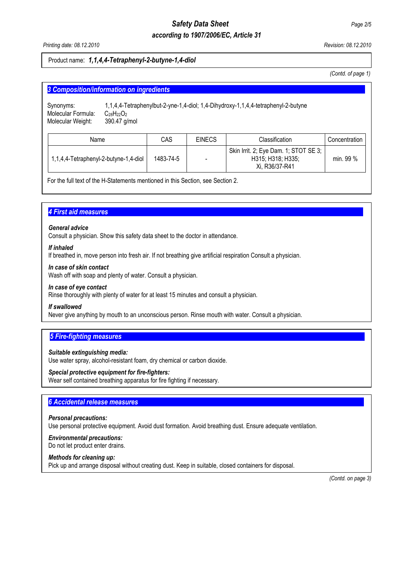# *Safety Data Sheet Page 2/5*

# *according to 1907/2006/EC, Article 31*

*Printing date: 08.12.2010 Revision: 08.12.2010* 

### Product name: *1,1,4,4-Tetraphenyl-2-butyne-1,4-diol*

*(Contd. of page 1)* 

| 3 Composition/information on ingredients             |                                   |           |               |                                                                                   |               |
|------------------------------------------------------|-----------------------------------|-----------|---------------|-----------------------------------------------------------------------------------|---------------|
| Synonyms:<br>Molecular Formula:<br>Molecular Weight: | $C_{28}H_{22}O_2$<br>390.47 g/mol |           |               | 1,1,4,4-Tetraphenylbut-2-yne-1,4-diol; 1,4-Dihydroxy-1,1,4,4-tetraphenyl-2-butyne |               |
| Name                                                 |                                   | CAS       | <b>EINECS</b> | Classification                                                                    | Concentration |
| 1,1,4,4-Tetraphenyl-2-butyne-1,4-diol                |                                   | 1483-74-5 |               | Skin Irrit. 2; Eye Dam. 1; STOT SE 3;<br>H315; H318; H335;<br>Xi, R36/37-R41      | min. 99 %     |

For the full text of the H-Statements mentioned in this Section, see Section 2.

# **4 First aid measures**

#### *General advice*

Consult a physician. Show this safety data sheet to the doctor in attendance.

#### *If inhaled*

If breathed in, move person into fresh air. If not breathing give artificial respiration Consult a physician.

#### *In case of skin contact*

Wash off with soap and plenty of water. Consult a physician.

#### *In case of eye contact*

Rinse thoroughly with plenty of water for at least 15 minutes and consult a physician.

#### *If swallowed*

Never give anything by mouth to an unconscious person. Rinse mouth with water. Consult a physician.

# **5 Fire-fighting measures**

#### *Suitable extinguishing media:*

Use water spray, alcohol-resistant foam, dry chemical or carbon dioxide.

#### *Special protective equipment for fire-fighters:*

Wear self contained breathing apparatus for fire fighting if necessary.

#### **6 Accidental release measures**

#### *Personal precautions:*

Use personal protective equipment. Avoid dust formation. Avoid breathing dust. Ensure adequate ventilation.

## *Environmental precautions:*

Do not let product enter drains.

#### *Methods for cleaning up:*

Pick up and arrange disposal without creating dust. Keep in suitable, closed containers for disposal.

 *(Contd. on page 3)*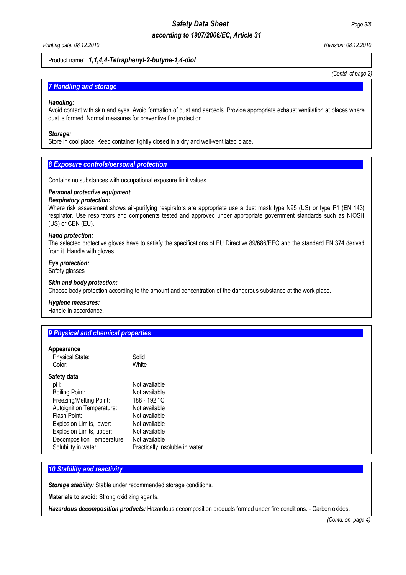# *Safety Data Sheet Page 3/5*

# *according to 1907/2006/EC, Article 31*

*Printing date: 08.12.2010 Revision: 08.12.2010* 

#### Product name: *1,1,4,4-Tetraphenyl-2-butyne-1,4-diol*

*(Contd. of page 2)*

### **7 Handling and storage**

#### *Handling:*

Avoid contact with skin and eyes. Avoid formation of dust and aerosols. Provide appropriate exhaust ventilation at places where dust is formed. Normal measures for preventive fire protection.

#### *Storage:*

Store in cool place. Keep container tightly closed in a dry and well-ventilated place.

#### **8 Exposure controls/personal protection**

Contains no substances with occupational exposure limit values.

#### *Personal protective equipment*

#### *Respiratory protection:*

Where risk assessment shows air-purifying respirators are appropriate use a dust mask type N95 (US) or type P1 (EN 143) respirator. Use respirators and components tested and approved under appropriate government standards such as NIOSH (US) or CEN (EU).

#### *Hand protection:*

The selected protective gloves have to satisfy the specifications of EU Directive 89/686/EEC and the standard EN 374 derived from it. Handle with gloves.

# *Eye protection:*

# Safety glasses

#### *Skin and body protection:*

Choose body protection according to the amount and concentration of the dangerous substance at the work place.

#### *Hygiene measures:*

Handle in accordance.

# **9 Physical and chemical properties**

#### **Appearance**

| Physical State:<br>Color:  | Solid<br>White                 |
|----------------------------|--------------------------------|
| Safety data                |                                |
| pH:                        | Not available                  |
| Boiling Point:             | Not available                  |
| Freezing/Melting Point:    | 188 - 192 °C                   |
| Autoignition Temperature:  | Not available                  |
| Flash Point:               | Not available                  |
| Explosion Limits, lower:   | Not available                  |
| Explosion Limits, upper:   | Not available                  |
| Decomposition Temperature: | Not available                  |
| Solubility in water:       | Practically insoluble in water |
|                            |                                |

#### **10 Stability and reactivity**

*Storage stability:* Stable under recommended storage conditions.

**Materials to avoid:** Strong oxidizing agents.

*Hazardous decomposition products:* Hazardous decomposition products formed under fire conditions. - Carbon oxides.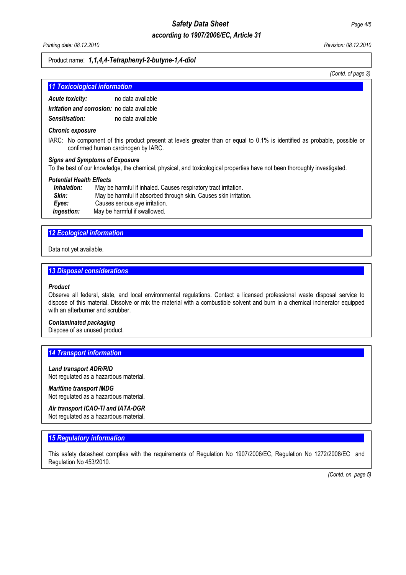# *Safety Data Sheet Page 4/5 according to 1907/2006/EC, Article 31*

*Printing date: 08.12.2010 Revision: 08.12.2010* 

#### Product name: *1,1,4,4-Tetraphenyl-2-butyne-1,4-diol*

*(Contd. of page 3)*

| <b>11 Toxicological information</b> |  |  |
|-------------------------------------|--|--|
|                                     |  |  |

*Acute toxicity:* no data available *Irritation and corrosion:* no data available

*Sensitisation:* no data available

#### *Chronic exposure*

IARC:No component of this product present at levels greater than or equal to 0.1% is identified as probable, possible or confirmed human carcinogen by IARC.

#### *Signs and Symptoms of Exposure*

To the best of our knowledge, the chemical, physical, and toxicological properties have not been thoroughly investigated.

#### *Potential Health Effects*

| Inhalation: | May be harmful if inhaled. Causes respiratory tract irritation.  |
|-------------|------------------------------------------------------------------|
| Skin:       | May be harmful if absorbed through skin. Causes skin irritation. |
| Eves:       | Causes serious eye irritation.                                   |
| Ingestion:  | May be harmful if swallowed.                                     |

#### *12 Ecological information............................................................................................................................................*

Data not yet available.

# **13 Disposal considerations**

#### *Product*

Observe all federal, state, and local environmental regulations. Contact a licensed professional waste disposal service to dispose of this material. Dissolve or mix the material with a combustible solvent and burn in a chemical incinerator equipped with an afterburner and scrubber.

#### *Contaminated packaging*

Dispose of as unused product.

#### **14 Transport information**

#### *Land transport ADR/RID*

Not regulated as a hazardous material.

#### *Maritime transport IMDG*

Not regulated as a hazardous material.

#### *Air transport ICAO-TI and IATA-DGR*

Not regulated as a hazardous material.

#### **15 Regulatory information**

This safety datasheet complies with the requirements of Regulation No 1907/2006/EC, Regulation No 1272/2008/EC and Regulation No 453/2010.

 *(Contd. on page 5)*